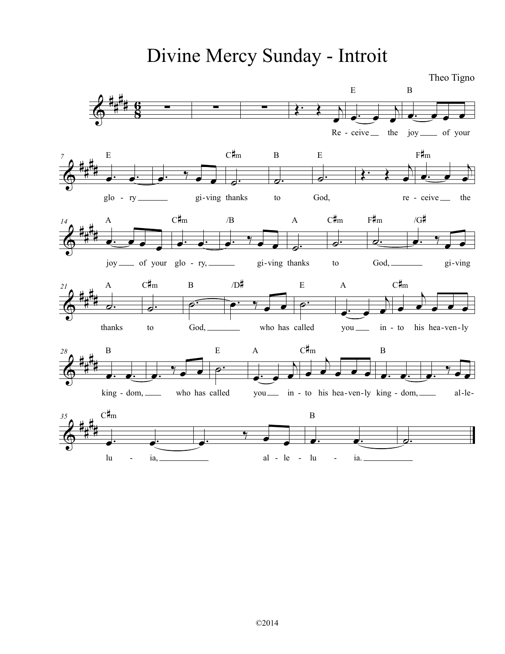Divine Mercy Sunday - Introit

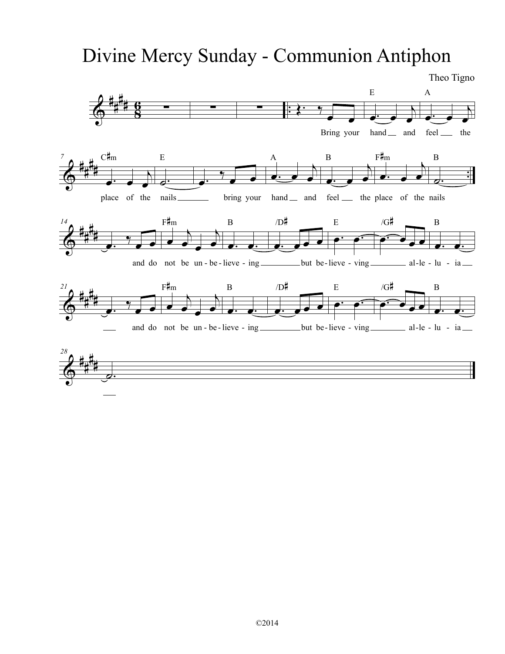# Divine Mercy Sunday - Communion Antiphon

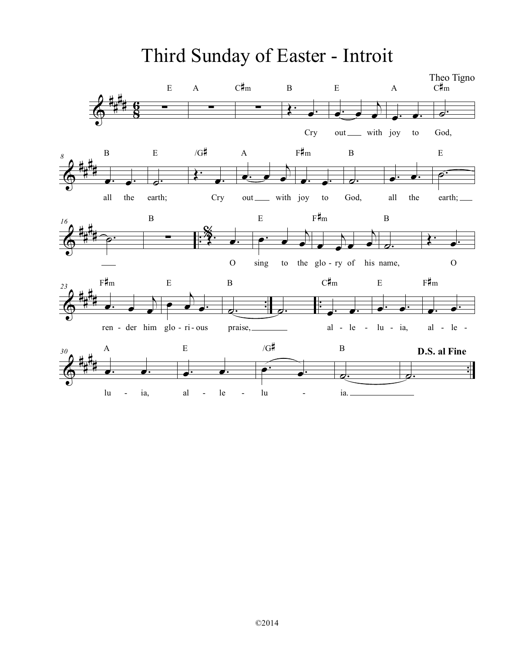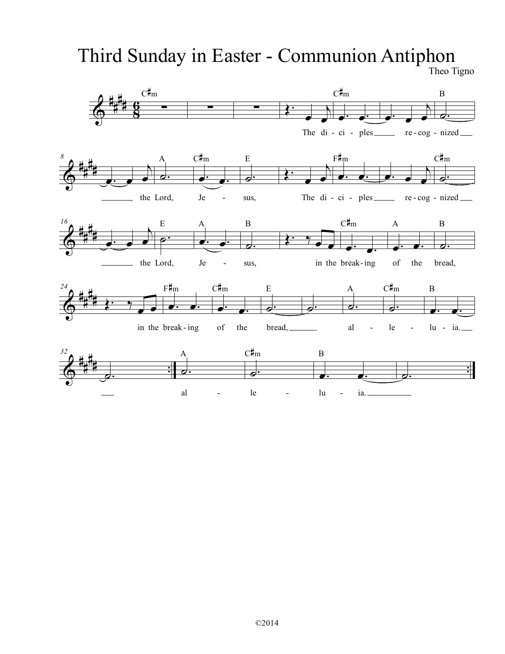# Third Sunday in Easter - Communion Antiphon

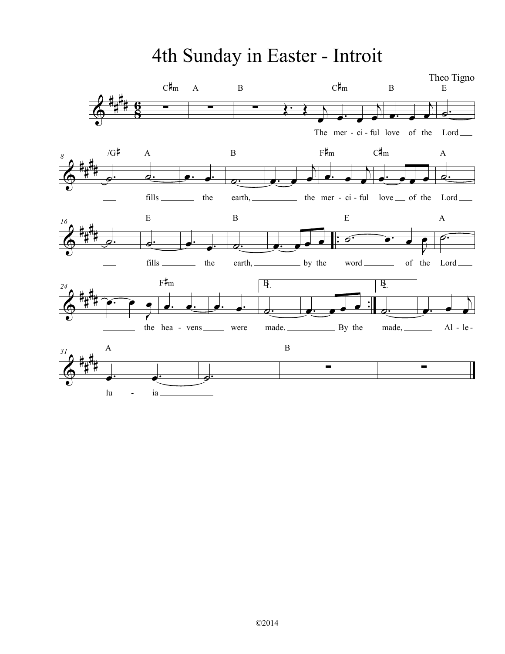4th Sunday in Easter - Introit

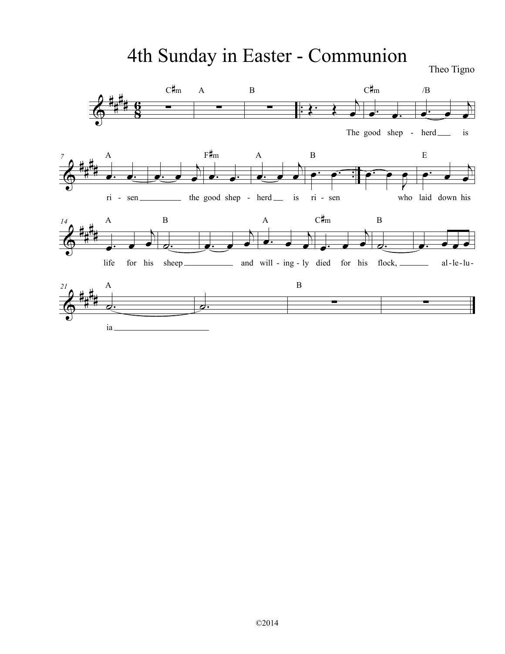# 4th Sunday in Easter - Communion Theo Tigno

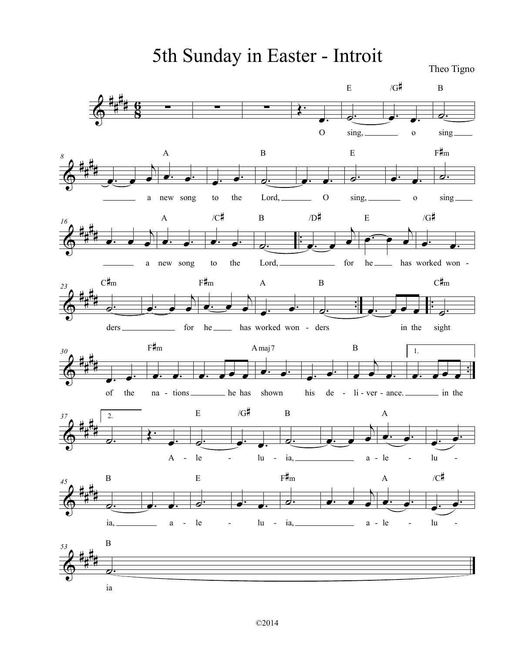5th Sunday in Easter - Introit

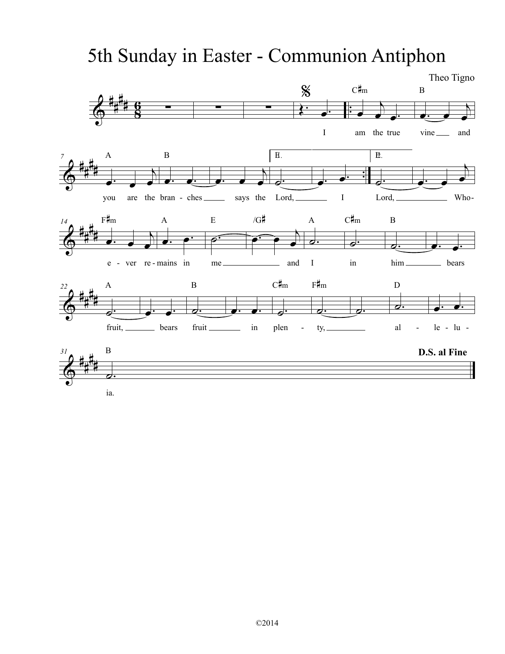# 5th Sunday in Easter - Communion Antiphon

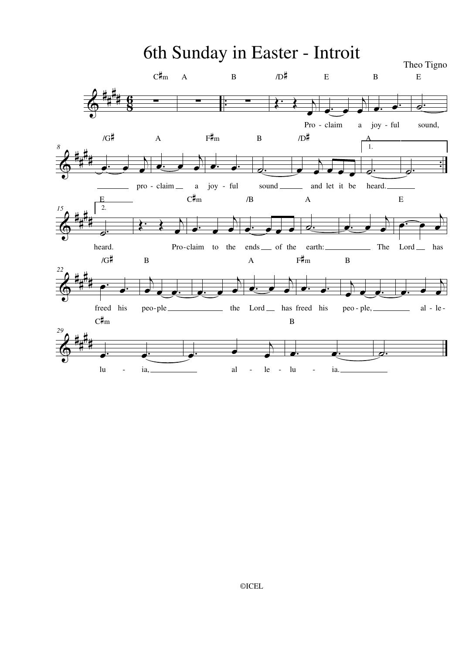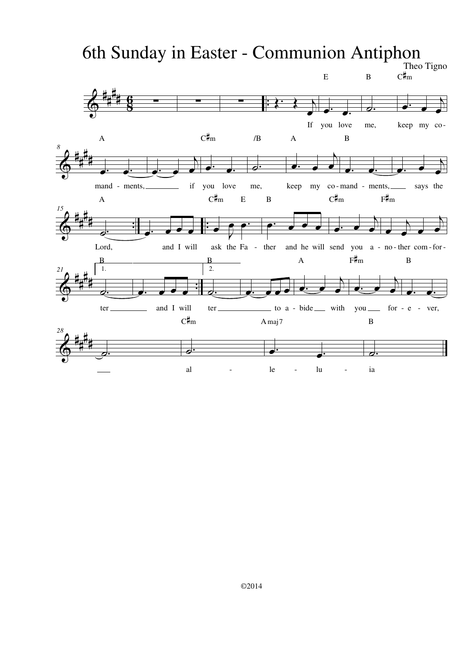# 6th Sunday in Easter - Communion Antiphon

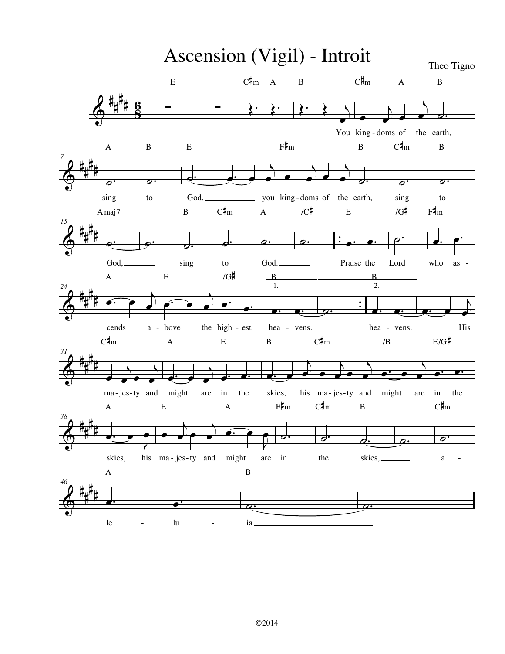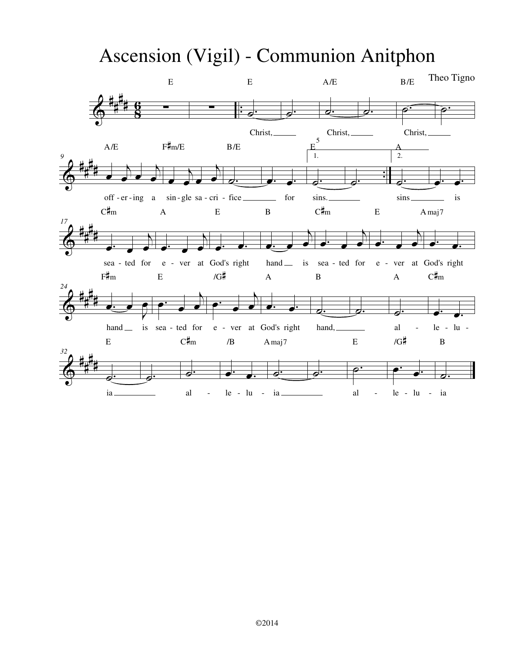# Ascension (Vigil) - Communion Anitphon

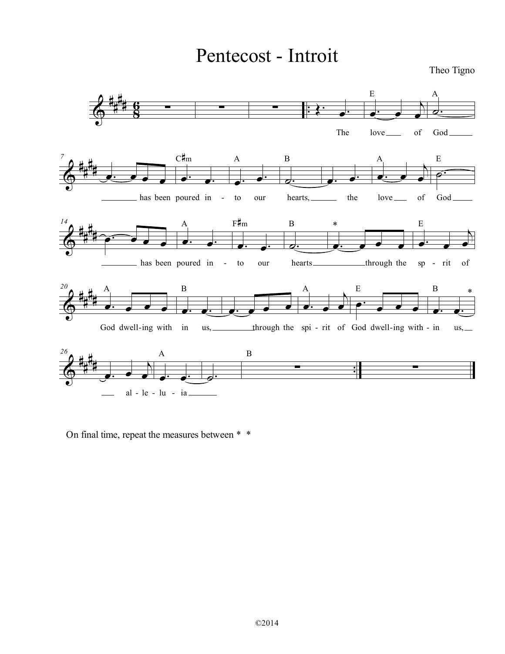# Pentecost - Introit



On final time, repeat the measures between \* \*